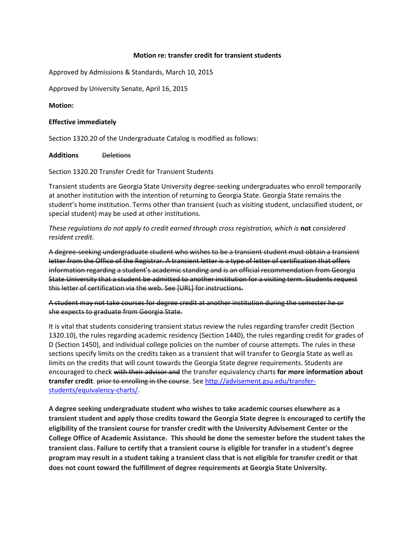## **Motion re: transfer credit for transient students**

Approved by Admissions & Standards, March 10, 2015

Approved by University Senate, April 16, 2015

## **Motion:**

## **Effective immediately**

Section 1320.20 of the Undergraduate Catalog is modified as follows:

**Additions** Deletions

Section 1320.20 Transfer Credit for Transient Students

Transient students are Georgia State University degree-seeking undergraduates who enroll temporarily at another institution with the intention of returning to Georgia State. Georgia State remains the student's home institution. Terms other than transient (such as visiting student, unclassified student, or special student) may be used at other institutions.

*These regulations do not apply to credit earned through cross registration, which is* **not** *considered resident credit.*

A degree-seeking undergraduate student who wishes to be a transient student must obtain a transient letter from the Office of the Registrar. A transient letter is a type of letter of certification that offers information regarding a student's academic standing and is an official recommendation from Georgia State University that a student be admitted to another institution for a visiting term. Students request this letter of certification via the web. See [URL] for instructions.

A student may not take courses for degree credit at another institution during the semester he or she expects to graduate from Georgia State.

It is vital that students considering transient status review the rules regarding transfer credit (Section 1320.10), the rules regarding academic residency (Section 1440), the rules regarding credit for grades of D (Section 1450), and individual college policies on the number of course attempts. The rules in these sections specify limits on the credits taken as a transient that will transfer to Georgia State as well as limits on the credits that will count towards the Georgia State degree requirements. Students are encouraged to check with their advisor and the transfer equivalency charts **for more information about transfer credit**. prior to enrolling in the course. See [http://advisement.gsu.edu/transfer](http://advisement.gsu.edu/transfer-students/equivalency-charts/)[students/equivalency-charts/.](http://advisement.gsu.edu/transfer-students/equivalency-charts/)

**A degree seeking undergraduate student who wishes to take academic courses elsewhere as a transient student and apply those credits toward the Georgia State degree is encouraged to certify the eligibility of the transient course for transfer credit with the University Advisement Center or the College Office of Academic Assistance. This should be done the semester before the student takes the transient class. Failure to certify that a transient course is eligible for transfer in a student's degree program may result in a student taking a transient class that is not eligible for transfer credit or that does not count toward the fulfillment of degree requirements at Georgia State University.**